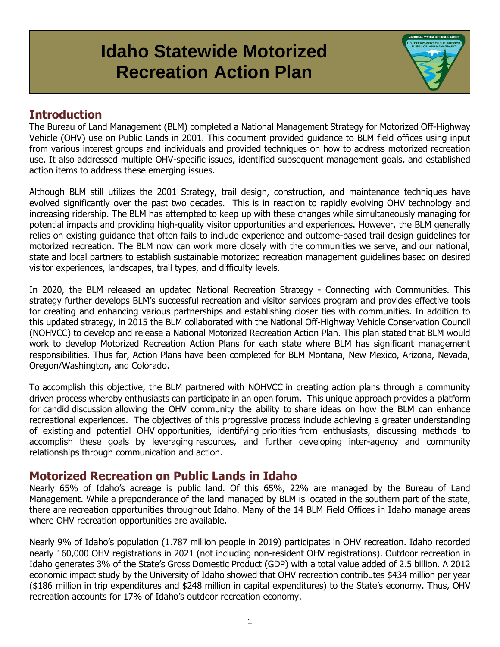# **Idaho Statewide Motorized Recreation Action Plan**

## **Introduction**

The Bureau of Land Management (BLM) completed a National Management Strategy for Motorized Off-Highway Vehicle (OHV) use on Public Lands in 2001. This document provided guidance to BLM field offices using input from various interest groups and individuals and provided techniques on how to address motorized recreation use. It also addressed multiple OHV-specific issues, identified subsequent management goals, and established action items to address these emerging issues.

Although BLM still utilizes the 2001 Strategy, trail design, construction, and maintenance techniques have evolved significantly over the past two decades. This is in reaction to rapidly evolving OHV technology and increasing ridership. The BLM has attempted to keep up with these changes while simultaneously managing for potential impacts and providing high-quality visitor opportunities and experiences. However, the BLM generally relies on existing guidance that often fails to include experience and outcome-based trail design guidelines for motorized recreation. The BLM now can work more closely with the communities we serve, and our national, state and local partners to establish sustainable motorized recreation management guidelines based on desired visitor experiences, landscapes, trail types, and difficulty levels.

In 2020, the BLM released an updated National Recreation Strategy - Connecting with Communities. This strategy further develops BLM's successful recreation and visitor services program and provides effective tools for creating and enhancing various partnerships and establishing closer ties with communities. In addition to this updated strategy, in 2015 the BLM collaborated with the National Off-Highway Vehicle Conservation Council (NOHVCC) to develop and release a National Motorized Recreation Action Plan. This plan stated that BLM would work to develop Motorized Recreation Action Plans for each state where BLM has significant management responsibilities. Thus far, Action Plans have been completed for BLM Montana, New Mexico, Arizona, Nevada, Oregon/Washington, and Colorado.

To accomplish this objective, the BLM partnered with NOHVCC in creating action plans through a community driven process whereby enthusiasts can participate in an open forum. This unique approach provides a platform for candid discussion allowing the OHV community the ability to share ideas on how the BLM can enhance recreational experiences. The objectives of this progressive process include achieving a greater understanding of existing and potential OHV opportunities, identifying priorities from enthusiasts, discussing methods to accomplish these goals by leveraging resources, and further developing inter-agency and community relationships through communication and action.

## **Motorized Recreation on Public Lands in Idaho**

Nearly 65% of Idaho's acreage is public land. Of this 65%, 22% are managed by the Bureau of Land Management. While a preponderance of the land managed by BLM is located in the southern part of the state, there are recreation opportunities throughout Idaho. Many of the 14 BLM Field Offices in Idaho manage areas where OHV recreation opportunities are available.

Nearly 9% of Idaho's population (1.787 million people in 2019) participates in OHV recreation. Idaho recorded nearly 160,000 OHV registrations in 2021 (not including non-resident OHV registrations). Outdoor recreation in Idaho generates 3% of the State's Gross Domestic Product (GDP) with a total value added of 2.5 billion. A 2012 economic impact study by the University of Idaho showed that OHV recreation contributes \$434 million per year (\$186 million in trip expenditures and \$248 million in capital expenditures) to the State's economy. Thus, OHV recreation accounts for 17% of Idaho's outdoor recreation economy.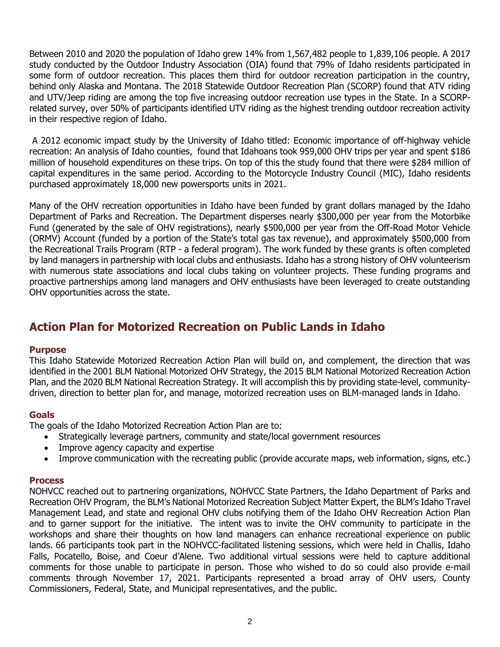Between 2010 and 2020 the population of Idaho grew 14% from 1,567,482 people to 1,839,106 people. A 2017 study conducted by the Outdoor Industry Association (OIA) found that 79% of Idaho residents participated in some form of outdoor recreation. This places them third for outdoor recreation participation in the country, behind only Alaska and Montana. The 2018 Statewide Outdoor Recreation Plan (SCORP) found that ATV riding and UTV/Jeep riding are among the top five increasing outdoor recreation use types in the State. In a SCORPrelated survey, over 50% of participants identified UTV riding as the highest trending outdoor recreation activity in their respective region of Idaho.

A 2012 economic impact study by the University of Idaho titled: Economic importance of off-highway vehicle recreation: An analysis of Idaho counties, found that Idahoans took 959,000 OHV trips per year and spent \$186 million of household expenditures on these trips. On top of this the study found that there were \$284 million of capital expenditures in the same period. According to the Motorcycle Industry Council (MIC), Idaho residents purchased approximately 18,000 new powersports units in 2021.

Many of the OHV recreation opportunities in Idaho have been funded by grant dollars managed by the Idaho Department of Parks and Recreation. The Department disperses nearly \$300,000 per year from the Motorbike Fund (generated by the sale of OHV registrations), nearly \$500,000 per year from the Off-Road Motor Vehicle (ORMV) Account (funded by a portion of the State's total gas tax revenue), and approximately \$500,000 from the Recreational Trails Program (RTP - a federal program). The work funded by these grants is often completed by land managers in partnership with local clubs and enthusiasts. Idaho has a strong history of OHV volunteerism with numerous state associations and local clubs taking on volunteer projects. These funding programs and proactive partnerships among land managers and OHV enthusiasts have been leveraged to create outstanding OHV opportunities across the state.

## **Action Plan for Motorized Recreation on Public Lands in Idaho**

#### **Purpose**

This Idaho Statewide Motorized Recreation Action Plan will build on, and complement, the direction that was identified in the 2001 BLM National Motorized OHV Strategy, the 2015 BLM National Motorized Recreation Action Plan, and the 2020 BLM National Recreation Strategy. It will accomplish this by providing state-level, communitydriven, direction to better plan for, and manage, motorized recreation uses on BLM-managed lands in Idaho.

#### **Goals**

The goals of the Idaho Motorized Recreation Action Plan are to:

- Strategically leverage partners, community and state/local government resources
- Improve agency capacity and expertise
- Improve communication with the recreating public (provide accurate maps, web information, signs, etc.)

#### **Process**

NOHVCC reached out to partnering organizations, NOHVCC State Partners, the Idaho Department of Parks and Recreation OHV Program, the BLM's National Motorized Recreation Subject Matter Expert, the BLM's Idaho Travel Management Lead, and state and regional OHV clubs notifying them of the Idaho OHV Recreation Action Plan and to garner support for the initiative. The intent was to invite the OHV community to participate in the workshops and share their thoughts on how land managers can enhance recreational experience on public lands. 66 participants took part in the NOHVCC-facilitated listening sessions, which were held in Challis, Idaho Falls, Pocatello, Boise, and Coeur d'Alene. Two additional virtual sessions were held to capture additional comments for those unable to participate in person. Those who wished to do so could also provide e-mail comments through November 17, 2021. Participants represented a broad array of OHV users, County Commissioners, Federal, State, and Municipal representatives, and the public.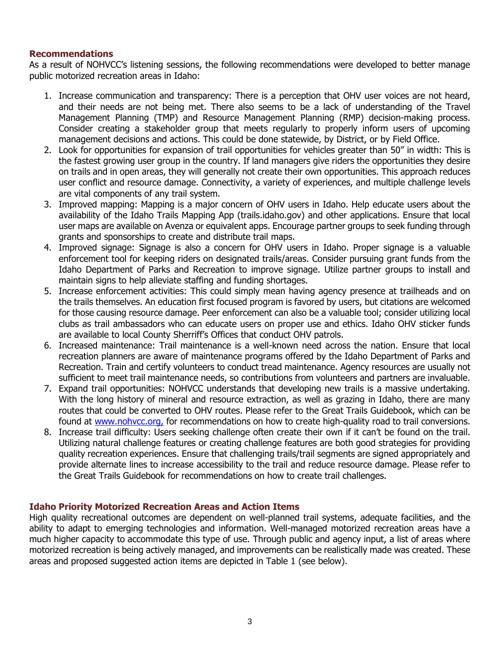#### **Recommendations**

As a result of NOHVCC's listening sessions, the following recommendations were developed to better manage public motorized recreation areas in Idaho:

- 1. Increase communication and transparency: There is a perception that OHV user voices are not heard, and their needs are not being met. There also seems to be a lack of understanding of the Travel Management Planning (TMP) and Resource Management Planning (RMP) decision-making process. Consider creating a stakeholder group that meets regularly to properly inform users of upcoming management decisions and actions. This could be done statewide, by District, or by Field Office.
- 2. Look for opportunities for expansion of trail opportunities for vehicles greater than 50" in width: This is the fastest growing user group in the country. If land managers give riders the opportunities they desire on trails and in open areas, they will generally not create their own opportunities. This approach reduces user conflict and resource damage. Connectivity, a variety of experiences, and multiple challenge levels are vital components of any trail system.
- 3. Improved mapping: Mapping is a major concern of OHV users in Idaho. Help educate users about the availability of the Idaho Trails Mapping App (trails.idaho.gov) and other applications. Ensure that local user maps are available on Avenza or equivalent apps. Encourage partner groups to seek funding through grants and sponsorships to create and distribute trail maps.
- 4. Improved signage: Signage is also a concern for OHV users in Idaho. Proper signage is a valuable enforcement tool for keeping riders on designated trails/areas. Consider pursuing grant funds from the Idaho Department of Parks and Recreation to improve signage. Utilize partner groups to install and maintain signs to help alleviate staffing and funding shortages.
- 5. Increase enforcement activities: This could simply mean having agency presence at trailheads and on the trails themselves. An education first focused program is favored by users, but citations are welcomed for those causing resource damage. Peer enforcement can also be a valuable tool; consider utilizing local clubs as trail ambassadors who can educate users on proper use and ethics. Idaho OHV sticker funds are available to local County Sherriff's Offices that conduct OHV patrols.
- 6. Increased maintenance: Trail maintenance is a well-known need across the nation. Ensure that local recreation planners are aware of maintenance programs offered by the Idaho Department of Parks and Recreation. Train and certify volunteers to conduct tread maintenance. Agency resources are usually not sufficient to meet trail maintenance needs, so contributions from volunteers and partners are invaluable.
- 7. Expand trail opportunities: NOHVCC understands that developing new trails is a massive undertaking. With the long history of mineral and resource extraction, as well as grazing in Idaho, there are many routes that could be converted to OHV routes. Please refer to the Great Trails Guidebook, which can be found at [www.nohvcc.org,](http://www.nohvcc.org/) for recommendations on how to create high-quality road to trail conversions.
- 8. Increase trail difficulty: Users seeking challenge often create their own if it can't be found on the trail. Utilizing natural challenge features or creating challenge features are both good strategies for providing quality recreation experiences. Ensure that challenging trails/trail segments are signed appropriately and provide alternate lines to increase accessibility to the trail and reduce resource damage. Please refer to the Great Trails Guidebook for recommendations on how to create trail challenges.

#### **Idaho Priority Motorized Recreation Areas and Action Items**

High quality recreational outcomes are dependent on well-planned trail systems, adequate facilities, and the ability to adapt to emerging technologies and information. Well-managed motorized recreation areas have a much higher capacity to accommodate this type of use. Through public and agency input, a list of areas where motorized recreation is being actively managed, and improvements can be realistically made was created. These areas and proposed suggested action items are depicted in Table 1 (see below).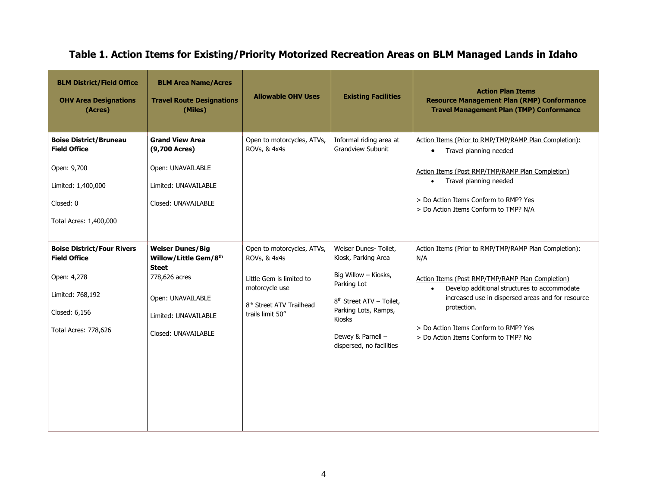# **Table 1. Action Items for Existing/Priority Motorized Recreation Areas on BLM Managed Lands in Idaho**

| <b>BLM District/Field Office</b><br><b>OHV Area Designations</b><br>(Acres)                                                          | <b>BLM Area Name/Acres</b><br><b>Travel Route Designations</b><br>(Miles)                                                                             | <b>Allowable OHV Uses</b>                                                                                                                            | <b>Existing Facilities</b>                                                                                                                                                                                     | <b>Action Plan Items</b><br><b>Resource Management Plan (RMP) Conformance</b><br><b>Travel Management Plan (TMP) Conformance</b>                                                                                                                                                                                                   |
|--------------------------------------------------------------------------------------------------------------------------------------|-------------------------------------------------------------------------------------------------------------------------------------------------------|------------------------------------------------------------------------------------------------------------------------------------------------------|----------------------------------------------------------------------------------------------------------------------------------------------------------------------------------------------------------------|------------------------------------------------------------------------------------------------------------------------------------------------------------------------------------------------------------------------------------------------------------------------------------------------------------------------------------|
| <b>Boise District/Bruneau</b><br><b>Field Office</b><br>Open: 9,700<br>Limited: 1,400,000<br>Closed: 0<br>Total Acres: 1,400,000     | <b>Grand View Area</b><br>(9,700 Acres)<br>Open: UNAVAILABLE<br>Limited: UNAVAILABLE<br>Closed: UNAVAILABLE                                           | Open to motorcycles, ATVs,<br>ROVs, & 4x4s                                                                                                           | Informal riding area at<br><b>Grandview Subunit</b>                                                                                                                                                            | Action Items (Prior to RMP/TMP/RAMP Plan Completion):<br>Travel planning needed<br>$\bullet$<br>Action Items (Post RMP/TMP/RAMP Plan Completion)<br>Travel planning needed<br>$\bullet$<br>> Do Action Items Conform to RMP? Yes<br>> Do Action Items Conform to TMP? N/A                                                          |
| <b>Boise District/Four Rivers</b><br><b>Field Office</b><br>Open: 4,278<br>Limited: 768,192<br>Closed: 6,156<br>Total Acres: 778,626 | <b>Weiser Dunes/Big</b><br>Willow/Little Gem/8th<br><b>Steet</b><br>778,626 acres<br>Open: UNAVAILABLE<br>Limited: UNAVAILABLE<br>Closed: UNAVAILABLE | Open to motorcycles, ATVs,<br>ROVs, & 4x4s<br>Little Gem is limited to<br>motorcycle use<br>8 <sup>th</sup> Street ATV Trailhead<br>trails limit 50" | Weiser Dunes- Toilet,<br>Kiosk, Parking Area<br>Big Willow - Kiosks,<br>Parking Lot<br>8 <sup>th</sup> Street ATV - Toilet,<br>Parking Lots, Ramps,<br>Kiosks<br>Dewey & Parnell -<br>dispersed, no facilities | Action Items (Prior to RMP/TMP/RAMP Plan Completion):<br>N/A<br>Action Items (Post RMP/TMP/RAMP Plan Completion)<br>Develop additional structures to accommodate<br>$\bullet$<br>increased use in dispersed areas and for resource<br>protection.<br>> Do Action Items Conform to RMP? Yes<br>> Do Action Items Conform to TMP? No |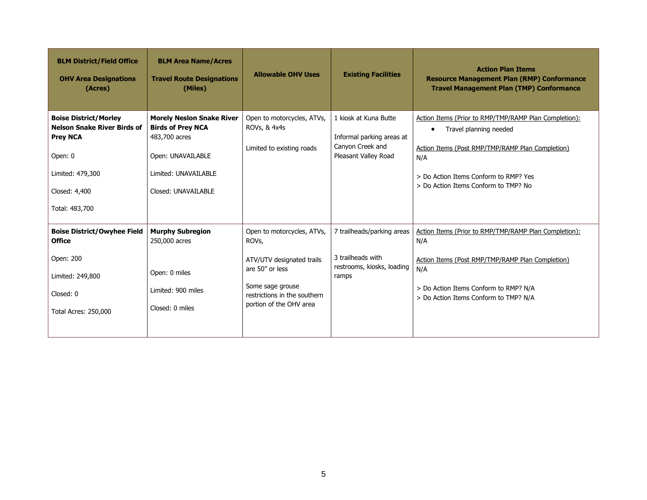| <b>BLM District/Field Office</b><br><b>OHV Area Designations</b><br>(Acres)                                                                             | <b>BLM Area Name/Acres</b><br><b>Travel Route Designations</b><br>(Miles)                                                                         | <b>Allowable OHV Uses</b>                                                                                                                                          | <b>Existing Facilities</b>                                                                     | <b>Action Plan Items</b><br><b>Resource Management Plan (RMP) Conformance</b><br><b>Travel Management Plan (TMP) Conformance</b>                                                                                                         |
|---------------------------------------------------------------------------------------------------------------------------------------------------------|---------------------------------------------------------------------------------------------------------------------------------------------------|--------------------------------------------------------------------------------------------------------------------------------------------------------------------|------------------------------------------------------------------------------------------------|------------------------------------------------------------------------------------------------------------------------------------------------------------------------------------------------------------------------------------------|
| <b>Boise District/Morley</b><br><b>Nelson Snake River Birds of</b><br><b>Prey NCA</b><br>Open: 0<br>Limited: 479,300<br>Closed: 4,400<br>Total: 483,700 | <b>Morely Neslon Snake River</b><br><b>Birds of Prey NCA</b><br>483,700 acres<br>Open: UNAVAILABLE<br>Limited: UNAVAILABLE<br>Closed: UNAVAILABLE | Open to motorcycles, ATVs,<br><b>ROVs, &amp; 4x4s</b><br>Limited to existing roads                                                                                 | 1 kiosk at Kuna Butte<br>Informal parking areas at<br>Canyon Creek and<br>Pleasant Valley Road | Action Items (Prior to RMP/TMP/RAMP Plan Completion):<br>Travel planning needed<br>$\bullet$<br>Action Items (Post RMP/TMP/RAMP Plan Completion)<br>N/A<br>> Do Action Items Conform to RMP? Yes<br>> Do Action Items Conform to TMP? No |
| <b>Boise District/Owyhee Field</b><br><b>Office</b><br>Open: 200<br>Limited: 249,800<br>Closed: 0<br>Total Acres: 250,000                               | <b>Murphy Subregion</b><br>250,000 acres<br>Open: 0 miles<br>Limited: 900 miles<br>Closed: 0 miles                                                | Open to motorcycles, ATVs,<br>ROVs,<br>ATV/UTV designated trails<br>are 50" or less<br>Some sage grouse<br>restrictions in the southern<br>portion of the OHV area | 7 trailheads/parking areas<br>3 trailheads with<br>restrooms, kiosks, loading<br>ramps         | Action Items (Prior to RMP/TMP/RAMP Plan Completion):<br>N/A<br>Action Items (Post RMP/TMP/RAMP Plan Completion)<br>N/A<br>> Do Action Items Conform to RMP? N/A<br>> Do Action Items Conform to TMP? N/A                                |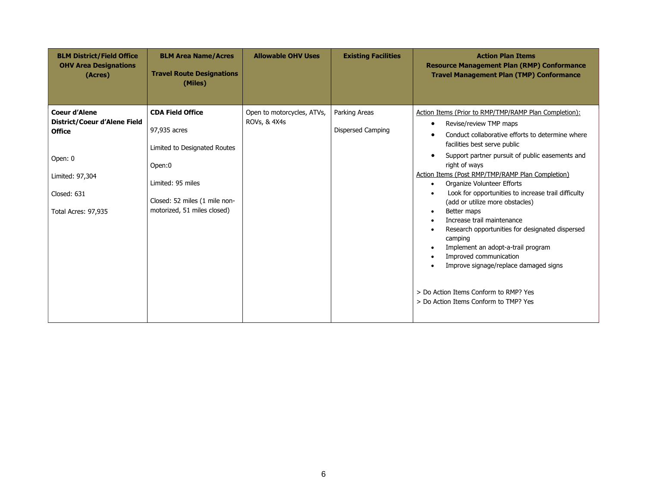| <b>BLM District/Field Office</b><br><b>OHV Area Designations</b><br>(Acres)                                                               | <b>BLM Area Name/Acres</b><br><b>Travel Route Designations</b><br>(Miles)                                                                                              | <b>Allowable OHV Uses</b>                  | <b>Existing Facilities</b>         | <b>Action Plan Items</b><br><b>Resource Management Plan (RMP) Conformance</b><br><b>Travel Management Plan (TMP) Conformance</b>                                                                                                                                                                                                                                                                                                                                                                                                                                                                                                                                                                                                                                 |
|-------------------------------------------------------------------------------------------------------------------------------------------|------------------------------------------------------------------------------------------------------------------------------------------------------------------------|--------------------------------------------|------------------------------------|------------------------------------------------------------------------------------------------------------------------------------------------------------------------------------------------------------------------------------------------------------------------------------------------------------------------------------------------------------------------------------------------------------------------------------------------------------------------------------------------------------------------------------------------------------------------------------------------------------------------------------------------------------------------------------------------------------------------------------------------------------------|
| <b>Coeur d'Alene</b><br>District/Coeur d'Alene Field<br><b>Office</b><br>Open: 0<br>Limited: 97,304<br>Closed: 631<br>Total Acres: 97,935 | <b>CDA Field Office</b><br>97,935 acres<br>Limited to Designated Routes<br>Open:0<br>Limited: 95 miles<br>Closed: 52 miles (1 mile non-<br>motorized, 51 miles closed) | Open to motorcycles, ATVs,<br>ROVs, & 4X4s | Parking Areas<br>Dispersed Camping | Action Items (Prior to RMP/TMP/RAMP Plan Completion):<br>Revise/review TMP maps<br>$\bullet$<br>Conduct collaborative efforts to determine where<br>facilities best serve public<br>Support partner pursuit of public easements and<br>$\bullet$<br>right of ways<br>Action Items (Post RMP/TMP/RAMP Plan Completion)<br>Organize Volunteer Efforts<br>$\bullet$<br>Look for opportunities to increase trail difficulty<br>(add or utilize more obstacles)<br>Better maps<br>Increase trail maintenance<br>Research opportunities for designated dispersed<br>camping<br>Implement an adopt-a-trail program<br>Improved communication<br>Improve signage/replace damaged signs<br>> Do Action Items Conform to RMP? Yes<br>> Do Action Items Conform to TMP? Yes |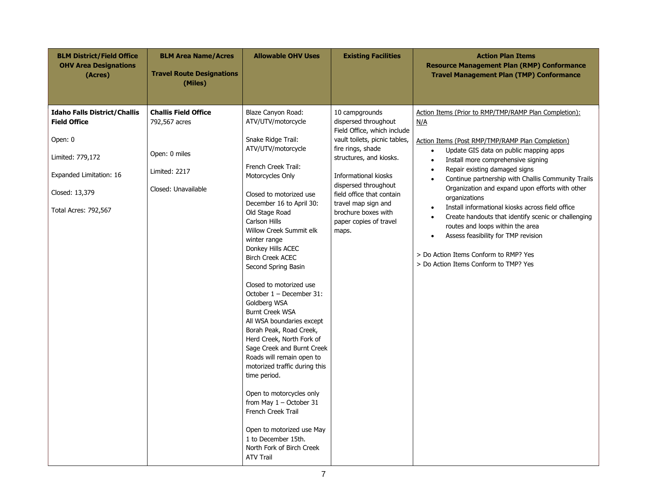| <b>BLM District/Field Office</b><br><b>OHV Area Designations</b><br>(Acres)                                                                                    | <b>BLM Area Name/Acres</b><br><b>Travel Route Designations</b><br>(Miles)                             | <b>Allowable OHV Uses</b>                                                                                                                                                                                                                                                                                                                                                                                                                                                                                                                                                                                                                                                                                                                                                                                                                | <b>Existing Facilities</b>                                                                                                                                                                                                                                                                                           | <b>Action Plan Items</b><br><b>Resource Management Plan (RMP) Conformance</b><br><b>Travel Management Plan (TMP) Conformance</b>                                                                                                                                                                                                                                                                                                                                                                                                                                                                                                                                                                                         |
|----------------------------------------------------------------------------------------------------------------------------------------------------------------|-------------------------------------------------------------------------------------------------------|------------------------------------------------------------------------------------------------------------------------------------------------------------------------------------------------------------------------------------------------------------------------------------------------------------------------------------------------------------------------------------------------------------------------------------------------------------------------------------------------------------------------------------------------------------------------------------------------------------------------------------------------------------------------------------------------------------------------------------------------------------------------------------------------------------------------------------------|----------------------------------------------------------------------------------------------------------------------------------------------------------------------------------------------------------------------------------------------------------------------------------------------------------------------|--------------------------------------------------------------------------------------------------------------------------------------------------------------------------------------------------------------------------------------------------------------------------------------------------------------------------------------------------------------------------------------------------------------------------------------------------------------------------------------------------------------------------------------------------------------------------------------------------------------------------------------------------------------------------------------------------------------------------|
| <b>Idaho Falls District/Challis</b><br><b>Field Office</b><br>Open: 0<br>Limited: 779,172<br>Expanded Limitation: 16<br>Closed: 13,379<br>Total Acres: 792,567 | <b>Challis Field Office</b><br>792,567 acres<br>Open: 0 miles<br>Limited: 2217<br>Closed: Unavailable | Blaze Canyon Road:<br>ATV/UTV/motorcycle<br>Snake Ridge Trail:<br>ATV/UTV/motorcycle<br>French Creek Trail:<br>Motorcycles Only<br>Closed to motorized use<br>December 16 to April 30:<br>Old Stage Road<br>Carlson Hills<br>Willow Creek Summit elk<br>winter range<br>Donkey Hills ACEC<br><b>Birch Creek ACEC</b><br>Second Spring Basin<br>Closed to motorized use<br>October 1 - December 31:<br>Goldberg WSA<br><b>Burnt Creek WSA</b><br>All WSA boundaries except<br>Borah Peak, Road Creek,<br>Herd Creek, North Fork of<br>Sage Creek and Burnt Creek<br>Roads will remain open to<br>motorized traffic during this<br>time period.<br>Open to motorcycles only<br>from May $1 -$ October 31<br><b>French Creek Trail</b><br>Open to motorized use May<br>1 to December 15th.<br>North Fork of Birch Creek<br><b>ATV Trail</b> | 10 campgrounds<br>dispersed throughout<br>Field Office, which include<br>vault toilets, picnic tables,<br>fire rings, shade<br>structures, and kiosks.<br>Informational kiosks<br>dispersed throughout<br>field office that contain<br>travel map sign and<br>brochure boxes with<br>paper copies of travel<br>maps. | Action Items (Prior to RMP/TMP/RAMP Plan Completion):<br><u>N/A</u><br>Action Items (Post RMP/TMP/RAMP Plan Completion)<br>Update GIS data on public mapping apps<br>$\bullet$<br>Install more comprehensive signing<br>$\bullet$<br>Repair existing damaged signs<br>$\bullet$<br>Continue partnership with Challis Community Trails<br>$\bullet$<br>Organization and expand upon efforts with other<br>organizations<br>Install informational kiosks across field office<br>$\bullet$<br>Create handouts that identify scenic or challenging<br>$\bullet$<br>routes and loops within the area<br>Assess feasibility for TMP revision<br>> Do Action Items Conform to RMP? Yes<br>> Do Action Items Conform to TMP? Yes |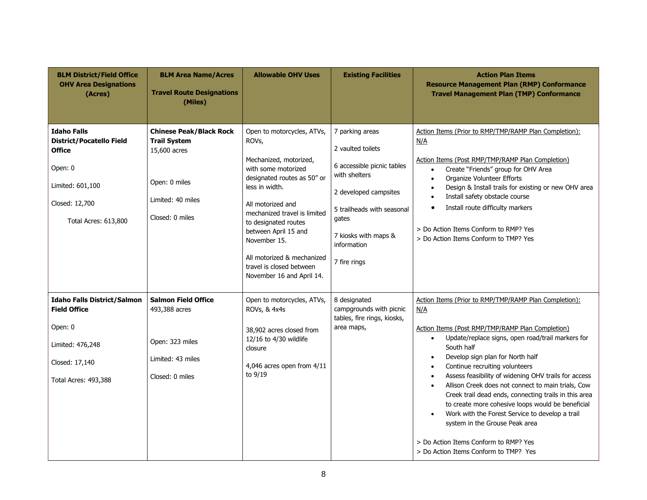| <b>BLM District/Field Office</b><br><b>OHV Area Designations</b><br>(Acres)                                                              | <b>BLM Area Name/Acres</b><br><b>Travel Route Designations</b><br>(Miles)                                                      | <b>Allowable OHV Uses</b>                                                                                                                                                                                                                                                                                                                         | <b>Existing Facilities</b>                                                                                                                                                                                 | <b>Action Plan Items</b><br><b>Resource Management Plan (RMP) Conformance</b><br><b>Travel Management Plan (TMP) Conformance</b>                                                                                                                                                                                                                                                                                                                                                                                                                                                                                                                                                                                                           |
|------------------------------------------------------------------------------------------------------------------------------------------|--------------------------------------------------------------------------------------------------------------------------------|---------------------------------------------------------------------------------------------------------------------------------------------------------------------------------------------------------------------------------------------------------------------------------------------------------------------------------------------------|------------------------------------------------------------------------------------------------------------------------------------------------------------------------------------------------------------|--------------------------------------------------------------------------------------------------------------------------------------------------------------------------------------------------------------------------------------------------------------------------------------------------------------------------------------------------------------------------------------------------------------------------------------------------------------------------------------------------------------------------------------------------------------------------------------------------------------------------------------------------------------------------------------------------------------------------------------------|
| <b>Idaho Falls</b><br><b>District/Pocatello Field</b><br>Office<br>Open: 0<br>Limited: 601,100<br>Closed: 12,700<br>Total Acres: 613,800 | <b>Chinese Peak/Black Rock</b><br><b>Trail System</b><br>15,600 acres<br>Open: 0 miles<br>Limited: 40 miles<br>Closed: 0 miles | Open to motorcycles, ATVs,<br>ROVs,<br>Mechanized, motorized,<br>with some motorized<br>designated routes as 50" or<br>less in width.<br>All motorized and<br>mechanized travel is limited<br>to designated routes<br>between April 15 and<br>November 15.<br>All motorized & mechanized<br>travel is closed between<br>November 16 and April 14. | 7 parking areas<br>2 vaulted toilets<br>6 accessible picnic tables<br>with shelters<br>2 developed campsites<br>5 trailheads with seasonal<br>gates<br>7 kiosks with maps &<br>information<br>7 fire rings | Action Items (Prior to RMP/TMP/RAMP Plan Completion):<br>N/A<br>Action Items (Post RMP/TMP/RAMP Plan Completion)<br>Create "Friends" group for OHV Area<br>$\bullet$<br>Organize Volunteer Efforts<br>$\bullet$<br>Design & Install trails for existing or new OHV area<br>$\bullet$<br>Install safety obstacle course<br>$\bullet$<br>Install route difficulty markers<br>$\bullet$<br>> Do Action Items Conform to RMP? Yes<br>> Do Action Items Conform to TMP? Yes                                                                                                                                                                                                                                                                     |
| <b>Idaho Falls District/Salmon</b><br><b>Field Office</b><br>Open: 0<br>Limited: 476,248<br>Closed: 17,140<br>Total Acres: 493,388       | <b>Salmon Field Office</b><br>493,388 acres<br>Open: 323 miles<br>Limited: 43 miles<br>Closed: 0 miles                         | Open to motorcycles, ATVs,<br>ROVs, & 4x4s<br>38,902 acres closed from<br>12/16 to 4/30 wildlife<br>closure<br>4,046 acres open from 4/11<br>to 9/19                                                                                                                                                                                              | 8 designated<br>campgrounds with picnic<br>tables, fire rings, kiosks,<br>area maps,                                                                                                                       | Action Items (Prior to RMP/TMP/RAMP Plan Completion):<br>N/A<br>Action Items (Post RMP/TMP/RAMP Plan Completion)<br>Update/replace signs, open road/trail markers for<br>$\bullet$<br>South half<br>Develop sign plan for North half<br>$\bullet$<br>Continue recruiting volunteers<br>$\bullet$<br>Assess feasibility of widening OHV trails for access<br>$\bullet$<br>Allison Creek does not connect to main trials, Cow<br>$\bullet$<br>Creek trail dead ends, connecting trails in this area<br>to create more cohesive loops would be beneficial<br>Work with the Forest Service to develop a trail<br>$\bullet$<br>system in the Grouse Peak area<br>> Do Action Items Conform to RMP? Yes<br>> Do Action Items Conform to TMP? Yes |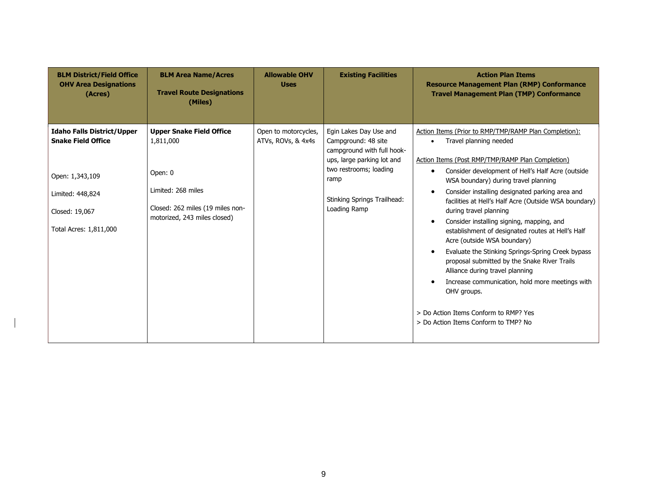| <b>BLM District/Field Office</b><br><b>OHV Area Designations</b><br>(Acres)                                                                       | <b>BLM Area Name/Acres</b><br><b>Travel Route Designations</b><br>(Miles)                                                                         | <b>Allowable OHV</b><br><b>Uses</b>        | <b>Existing Facilities</b>                                                                                                                                                                        | <b>Action Plan Items</b><br><b>Resource Management Plan (RMP) Conformance</b><br><b>Travel Management Plan (TMP) Conformance</b>                                                                                                                                                                                                                                                                                                                                                                                                                                                                                                                                                                                                                                                                        |
|---------------------------------------------------------------------------------------------------------------------------------------------------|---------------------------------------------------------------------------------------------------------------------------------------------------|--------------------------------------------|---------------------------------------------------------------------------------------------------------------------------------------------------------------------------------------------------|---------------------------------------------------------------------------------------------------------------------------------------------------------------------------------------------------------------------------------------------------------------------------------------------------------------------------------------------------------------------------------------------------------------------------------------------------------------------------------------------------------------------------------------------------------------------------------------------------------------------------------------------------------------------------------------------------------------------------------------------------------------------------------------------------------|
| <b>Idaho Falls District/Upper</b><br><b>Snake Field Office</b><br>Open: 1,343,109<br>Limited: 448,824<br>Closed: 19,067<br>Total Acres: 1,811,000 | <b>Upper Snake Field Office</b><br>1,811,000<br>Open: 0<br>Limited: 268 miles<br>Closed: 262 miles (19 miles non-<br>motorized, 243 miles closed) | Open to motorcycles,<br>ATVs, ROVs, & 4x4s | Egin Lakes Day Use and<br>Campground: 48 site<br>campground with full hook-<br>ups, large parking lot and<br>two restrooms; loading<br>ramp<br><b>Stinking Springs Trailhead:</b><br>Loading Ramp | Action Items (Prior to RMP/TMP/RAMP Plan Completion):<br>Travel planning needed<br>Action Items (Post RMP/TMP/RAMP Plan Completion)<br>Consider development of Hell's Half Acre (outside<br>٠<br>WSA boundary) during travel planning<br>Consider installing designated parking area and<br>facilities at Hell's Half Acre (Outside WSA boundary)<br>during travel planning<br>Consider installing signing, mapping, and<br>establishment of designated routes at Hell's Half<br>Acre (outside WSA boundary)<br>Evaluate the Stinking Springs-Spring Creek bypass<br>proposal submitted by the Snake River Trails<br>Alliance during travel planning<br>Increase communication, hold more meetings with<br>OHV groups.<br>> Do Action Items Conform to RMP? Yes<br>> Do Action Items Conform to TMP? No |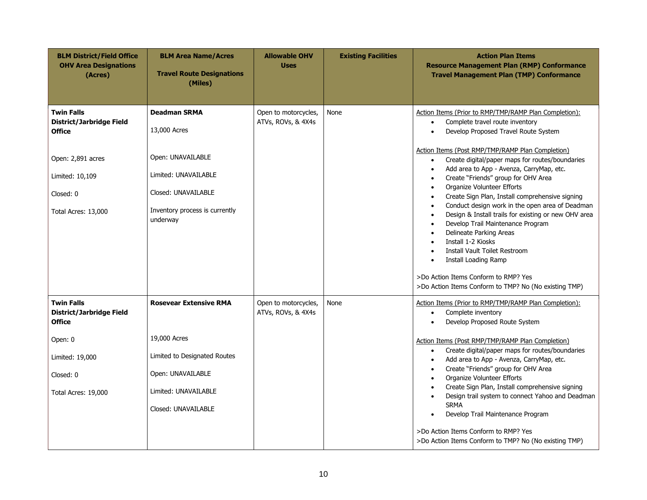| <b>BLM District/Field Office</b><br><b>OHV Area Designations</b><br>(Acres)                                                                       | <b>BLM Area Name/Acres</b><br><b>Travel Route Designations</b><br>(Miles)                                                                             | <b>Allowable OHV</b><br><b>Uses</b>        | <b>Existing Facilities</b> | <b>Action Plan Items</b><br><b>Resource Management Plan (RMP) Conformance</b><br><b>Travel Management Plan (TMP) Conformance</b>                                                                                                                                                                                                                                                                                                                                                                                                                                                                                                                                                                                                                                                                                                                                  |
|---------------------------------------------------------------------------------------------------------------------------------------------------|-------------------------------------------------------------------------------------------------------------------------------------------------------|--------------------------------------------|----------------------------|-------------------------------------------------------------------------------------------------------------------------------------------------------------------------------------------------------------------------------------------------------------------------------------------------------------------------------------------------------------------------------------------------------------------------------------------------------------------------------------------------------------------------------------------------------------------------------------------------------------------------------------------------------------------------------------------------------------------------------------------------------------------------------------------------------------------------------------------------------------------|
| <b>Twin Falls</b><br><b>District/Jarbridge Field</b><br><b>Office</b><br>Open: 2,891 acres<br>Limited: 10,109<br>Closed: 0<br>Total Acres: 13,000 | <b>Deadman SRMA</b><br>13,000 Acres<br>Open: UNAVAILABLE<br>Limited: UNAVAILABLE<br>Closed: UNAVAILABLE<br>Inventory process is currently<br>underway | Open to motorcycles,<br>ATVs, ROVs, & 4X4s | None                       | Action Items (Prior to RMP/TMP/RAMP Plan Completion):<br>Complete travel route inventory<br>$\bullet$<br>Develop Proposed Travel Route System<br>$\bullet$<br>Action Items (Post RMP/TMP/RAMP Plan Completion)<br>Create digital/paper maps for routes/boundaries<br>$\bullet$<br>Add area to App - Avenza, CarryMap, etc.<br>Create "Friends" group for OHV Area<br>Organize Volunteer Efforts<br>Create Sign Plan, Install comprehensive signing<br>$\bullet$<br>Conduct design work in the open area of Deadman<br>$\bullet$<br>Design & Install trails for existing or new OHV area<br>$\bullet$<br>Develop Trail Maintenance Program<br>Delineate Parking Areas<br>$\bullet$<br>Install 1-2 Kiosks<br>Install Vault Toilet Restroom<br>Install Loading Ramp<br>>Do Action Items Conform to RMP? Yes<br>>Do Action Items Conform to TMP? No (No existing TMP) |
| <b>Twin Falls</b><br><b>District/Jarbridge Field</b><br>Office<br>Open: 0<br>Limited: 19,000<br>Closed: 0<br>Total Acres: 19,000                  | <b>Rosevear Extensive RMA</b><br>19,000 Acres<br>Limited to Designated Routes<br>Open: UNAVAILABLE<br>Limited: UNAVAILABLE<br>Closed: UNAVAILABLE     | Open to motorcycles,<br>ATVs, ROVs, & 4X4s | None                       | Action Items (Prior to RMP/TMP/RAMP Plan Completion):<br>Complete inventory<br>$\bullet$<br>Develop Proposed Route System<br>Action Items (Post RMP/TMP/RAMP Plan Completion)<br>Create digital/paper maps for routes/boundaries<br>$\bullet$<br>Add area to App - Avenza, CarryMap, etc.<br>$\bullet$<br>Create "Friends" group for OHV Area<br>$\bullet$<br>Organize Volunteer Efforts<br>$\bullet$<br>Create Sign Plan, Install comprehensive signing<br>Design trail system to connect Yahoo and Deadman<br>$\bullet$<br><b>SRMA</b><br>Develop Trail Maintenance Program<br>$\bullet$<br>>Do Action Items Conform to RMP? Yes                                                                                                                                                                                                                                |
|                                                                                                                                                   |                                                                                                                                                       |                                            |                            | >Do Action Items Conform to TMP? No (No existing TMP)                                                                                                                                                                                                                                                                                                                                                                                                                                                                                                                                                                                                                                                                                                                                                                                                             |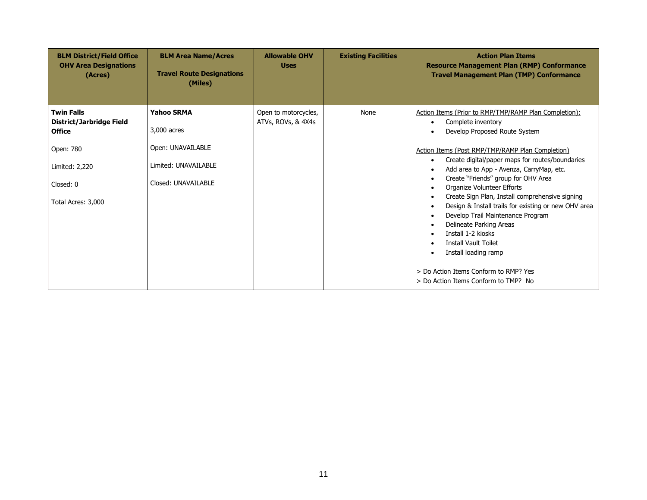| <b>BLM District/Field Office</b><br><b>OHV Area Designations</b><br>(Acres) | <b>BLM Area Name/Acres</b><br><b>Travel Route Designations</b><br>(Miles) | <b>Allowable OHV</b><br><b>Uses</b>        | <b>Existing Facilities</b> | <b>Action Plan Items</b><br><b>Resource Management Plan (RMP) Conformance</b><br><b>Travel Management Plan (TMP) Conformance</b>                                                                                                                                                                                                                                                                                                                                                                                                                                                                                                           |
|-----------------------------------------------------------------------------|---------------------------------------------------------------------------|--------------------------------------------|----------------------------|--------------------------------------------------------------------------------------------------------------------------------------------------------------------------------------------------------------------------------------------------------------------------------------------------------------------------------------------------------------------------------------------------------------------------------------------------------------------------------------------------------------------------------------------------------------------------------------------------------------------------------------------|
| <b>Twin Falls</b><br>District/Jarbridge Field<br><b>Office</b>              | <b>Yahoo SRMA</b><br>3,000 acres                                          | Open to motorcycles,<br>ATVs, ROVs, & 4X4s | None                       | Action Items (Prior to RMP/TMP/RAMP Plan Completion):<br>Complete inventory<br>$\bullet$<br>Develop Proposed Route System                                                                                                                                                                                                                                                                                                                                                                                                                                                                                                                  |
| Open: 780<br>Limited: 2,220<br>Closed: 0<br>Total Acres: 3,000              | Open: UNAVAILABLE<br>Limited: UNAVAILABLE<br>Closed: UNAVAILABLE          |                                            |                            | Action Items (Post RMP/TMP/RAMP Plan Completion)<br>Create digital/paper maps for routes/boundaries<br>$\bullet$<br>Add area to App - Avenza, CarryMap, etc.<br>Create "Friends" group for OHV Area<br>٠<br>Organize Volunteer Efforts<br>٠<br>Create Sign Plan, Install comprehensive signing<br>$\bullet$<br>Design & Install trails for existing or new OHV area<br>Develop Trail Maintenance Program<br>$\bullet$<br>Delineate Parking Areas<br>٠<br>Install 1-2 kiosks<br>٠<br><b>Install Vault Toilet</b><br>٠<br>Install loading ramp<br>$\bullet$<br>> Do Action Items Conform to RMP? Yes<br>> Do Action Items Conform to TMP? No |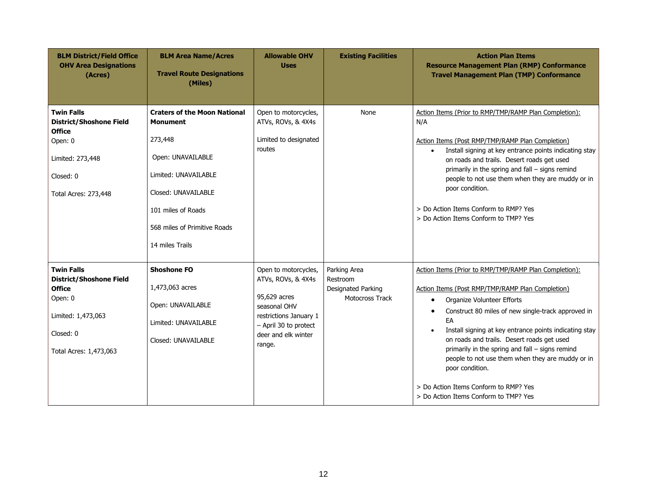| <b>BLM District/Field Office</b><br><b>OHV Area Designations</b><br>(Acres)                                                                  | <b>BLM Area Name/Acres</b><br><b>Travel Route Designations</b><br>(Miles)                                                                                                                                      | <b>Allowable OHV</b><br><b>Uses</b>                                                                                                                            | <b>Existing Facilities</b>                                        | <b>Action Plan Items</b><br><b>Resource Management Plan (RMP) Conformance</b><br><b>Travel Management Plan (TMP) Conformance</b>                                                                                                                                                                                                                                                                                                                                                                                                                       |
|----------------------------------------------------------------------------------------------------------------------------------------------|----------------------------------------------------------------------------------------------------------------------------------------------------------------------------------------------------------------|----------------------------------------------------------------------------------------------------------------------------------------------------------------|-------------------------------------------------------------------|--------------------------------------------------------------------------------------------------------------------------------------------------------------------------------------------------------------------------------------------------------------------------------------------------------------------------------------------------------------------------------------------------------------------------------------------------------------------------------------------------------------------------------------------------------|
| <b>Twin Falls</b><br><b>District/Shoshone Field</b><br><b>Office</b><br>Open: 0<br>Limited: 273,448<br>Closed: 0<br>Total Acres: 273,448     | <b>Craters of the Moon National</b><br><b>Monument</b><br>273,448<br>Open: UNAVAILABLE<br>Limited: UNAVAILABLE<br>Closed: UNAVAILABLE<br>101 miles of Roads<br>568 miles of Primitive Roads<br>14 miles Trails | Open to motorcycles,<br>ATVs, ROVs, & 4X4s<br>Limited to designated<br>routes                                                                                  | None                                                              | Action Items (Prior to RMP/TMP/RAMP Plan Completion):<br>N/A<br>Action Items (Post RMP/TMP/RAMP Plan Completion)<br>Install signing at key entrance points indicating stay<br>$\bullet$<br>on roads and trails. Desert roads get used<br>primarily in the spring and fall - signs remind<br>people to not use them when they are muddy or in<br>poor condition.<br>> Do Action Items Conform to RMP? Yes<br>> Do Action Items Conform to TMP? Yes                                                                                                      |
| <b>Twin Falls</b><br><b>District/Shoshone Field</b><br><b>Office</b><br>Open: 0<br>Limited: 1,473,063<br>Closed: 0<br>Total Acres: 1,473,063 | <b>Shoshone FO</b><br>1,473,063 acres<br>Open: UNAVAILABLE<br>Limited: UNAVAILABLE<br>Closed: UNAVAILABLE                                                                                                      | Open to motorcycles,<br>ATVs, ROVs, & 4X4s<br>95,629 acres<br>seasonal OHV<br>restrictions January 1<br>- April 30 to protect<br>deer and elk winter<br>range. | Parking Area<br>Restroom<br>Designated Parking<br>Motocross Track | Action Items (Prior to RMP/TMP/RAMP Plan Completion):<br>Action Items (Post RMP/TMP/RAMP Plan Completion)<br>Organize Volunteer Efforts<br>$\bullet$<br>Construct 80 miles of new single-track approved in<br>٠<br>EA<br>Install signing at key entrance points indicating stay<br>$\bullet$<br>on roads and trails. Desert roads get used<br>primarily in the spring and fall - signs remind<br>people to not use them when they are muddy or in<br>poor condition.<br>> Do Action Items Conform to RMP? Yes<br>> Do Action Items Conform to TMP? Yes |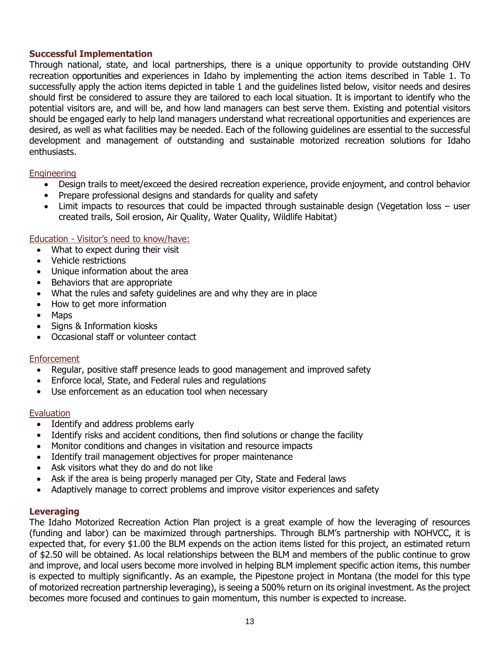#### **Successful Implementation**

Through national, state, and local partnerships, there is a unique opportunity to provide outstanding OHV recreation opportunities and experiences in Idaho by implementing the action items described in Table 1. To successfully apply the action items depicted in table 1 and the guidelines listed below, visitor needs and desires should first be considered to assure they are tailored to each local situation. It is important to identify who the potential visitors are, and will be, and how land managers can best serve them. Existing and potential visitors should be engaged early to help land managers understand what recreational opportunities and experiences are desired, as well as what facilities may be needed. Each of the following guidelines are essential to the successful development and management of outstanding and sustainable motorized recreation solutions for Idaho enthusiasts.

#### Engineering

- Design trails to meet/exceed the desired recreation experience, provide enjoyment, and control behavior
- Prepare professional designs and standards for quality and safety
- Limit impacts to resources that could be impacted through sustainable design (Vegetation loss user created trails, Soil erosion, Air Quality, Water Quality, Wildlife Habitat)

#### Education - Visitor's need to know/have:

- What to expect during their visit
- Vehicle restrictions
- Unique information about the area
- Behaviors that are appropriate
- What the rules and safety guidelines are and why they are in place
- How to get more information
- Maps
- Signs & Information kiosks
- Occasional staff or volunteer contact

#### **Enforcement**

- Regular, positive staff presence leads to good management and improved safety
- Enforce local, State, and Federal rules and regulations
- Use enforcement as an education tool when necessary

#### Evaluation

- Identify and address problems early
- Identify risks and accident conditions, then find solutions or change the facility
- Monitor conditions and changes in visitation and resource impacts
- Identify trail management objectives for proper maintenance
- Ask visitors what they do and do not like
- Ask if the area is being properly managed per City, State and Federal laws
- Adaptively manage to correct problems and improve visitor experiences and safety

#### **Leveraging**

The Idaho Motorized Recreation Action Plan project is a great example of how the leveraging of resources (funding and labor) can be maximized through partnerships. Through BLM's partnership with NOHVCC, it is expected that, for every \$1.00 the BLM expends on the action items listed for this project, an estimated return of \$2.50 will be obtained. As local relationships between the BLM and members of the public continue to grow and improve, and local users become more involved in helping BLM implement specific action items, this number is expected to multiply significantly. As an example, the Pipestone project in Montana (the model for this type of motorized recreation partnership leveraging), is seeing a 500% return on its original investment. As the project becomes more focused and continues to gain momentum, this number is expected to increase.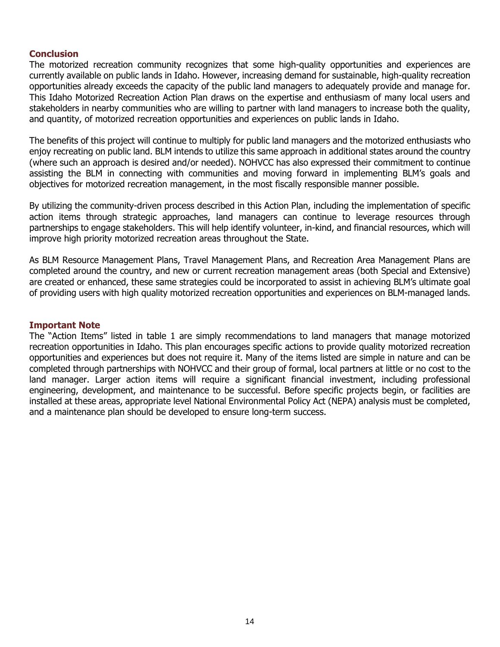#### **Conclusion**

The motorized recreation community recognizes that some high-quality opportunities and experiences are currently available on public lands in Idaho. However, increasing demand for sustainable, high-quality recreation opportunities already exceeds the capacity of the public land managers to adequately provide and manage for. This Idaho Motorized Recreation Action Plan draws on the expertise and enthusiasm of many local users and stakeholders in nearby communities who are willing to partner with land managers to increase both the quality, and quantity, of motorized recreation opportunities and experiences on public lands in Idaho.

The benefits of this project will continue to multiply for public land managers and the motorized enthusiasts who enjoy recreating on public land. BLM intends to utilize this same approach in additional states around the country (where such an approach is desired and/or needed). NOHVCC has also expressed their commitment to continue assisting the BLM in connecting with communities and moving forward in implementing BLM's goals and objectives for motorized recreation management, in the most fiscally responsible manner possible.

By utilizing the community-driven process described in this Action Plan, including the implementation of specific action items through strategic approaches, land managers can continue to leverage resources through partnerships to engage stakeholders. This will help identify volunteer, in-kind, and financial resources, which will improve high priority motorized recreation areas throughout the State.

As BLM Resource Management Plans, Travel Management Plans, and Recreation Area Management Plans are completed around the country, and new or current recreation management areas (both Special and Extensive) are created or enhanced, these same strategies could be incorporated to assist in achieving BLM's ultimate goal of providing users with high quality motorized recreation opportunities and experiences on BLM-managed lands.

#### **Important Note**

The "Action Items" listed in table 1 are simply recommendations to land managers that manage motorized recreation opportunities in Idaho. This plan encourages specific actions to provide quality motorized recreation opportunities and experiences but does not require it. Many of the items listed are simple in nature and can be completed through partnerships with NOHVCC and their group of formal, local partners at little or no cost to the land manager. Larger action items will require a significant financial investment, including professional engineering, development, and maintenance to be successful. Before specific projects begin, or facilities are installed at these areas, appropriate level National Environmental Policy Act (NEPA) analysis must be completed, and a maintenance plan should be developed to ensure long-term success.